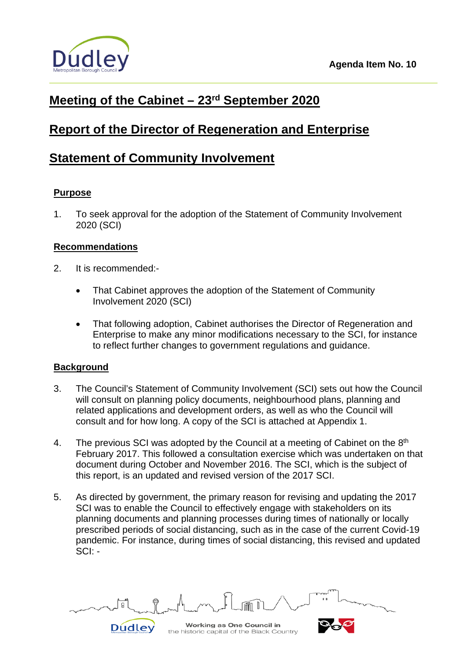

# **Meeting of the Cabinet – 23rd September 2020**

## **Report of the Director of Regeneration and Enterprise**

## **Statement of Community Involvement**

## **Purpose**

1. To seek approval for the adoption of the Statement of Community Involvement 2020 (SCI)

## **Recommendations**

- 2. It is recommended:-
	- That Cabinet approves the adoption of the Statement of Community Involvement 2020 (SCI)
	- That following adoption, Cabinet authorises the Director of Regeneration and Enterprise to make any minor modifications necessary to the SCI, for instance to reflect further changes to government regulations and guidance.

## **Background**

- 3. The Council's Statement of Community Involvement (SCI) sets out how the Council will consult on planning policy documents, neighbourhood plans, planning and related applications and development orders, as well as who the Council will consult and for how long. A copy of the SCI is attached at Appendix 1.
- 4. The previous SCI was adopted by the Council at a meeting of Cabinet on the 8<sup>th</sup> February 2017. This followed a consultation exercise which was undertaken on that document during October and November 2016. The SCI, which is the subject of this report, is an updated and revised version of the 2017 SCI.
- 5. As directed by government, the primary reason for revising and updating the 2017 SCI was to enable the Council to effectively engage with stakeholders on its planning documents and planning processes during times of nationally or locally prescribed periods of social distancing, such as in the case of the current Covid-19 pandemic. For instance, during times of social distancing, this revised and updated SCI: -

Working as One Council in Dudley

the historic capital of the Black Country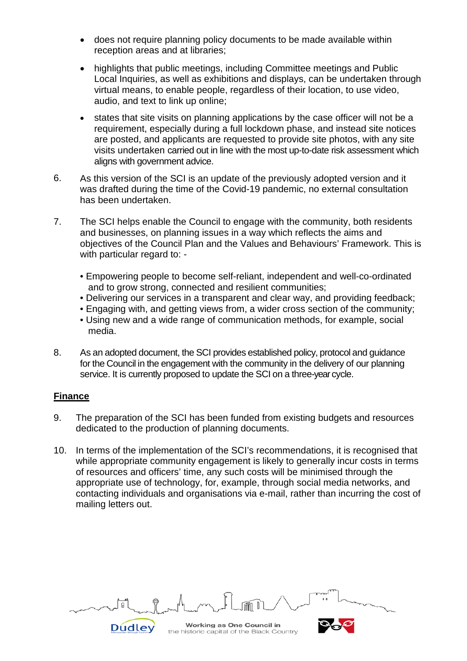- does not require planning policy documents to be made available within reception areas and at libraries;
- highlights that public meetings, including Committee meetings and Public Local Inquiries, as well as exhibitions and displays, can be undertaken through virtual means, to enable people, regardless of their location, to use video, audio, and text to link up online;
- states that site visits on planning applications by the case officer will not be a requirement, especially during a full lockdown phase, and instead site notices are posted, and applicants are requested to provide site photos, with any site visits undertaken carried out in line with the most up-to-date risk assessment which aligns with government advice.
- 6. As this version of the SCI is an update of the previously adopted version and it was drafted during the time of the Covid-19 pandemic, no external consultation has been undertaken.
- 7. The SCI helps enable the Council to engage with the community, both residents and businesses, on planning issues in a way which reflects the aims and objectives of the Council Plan and the Values and Behaviours' Framework. This is with particular regard to: -
	- Empowering people to become self-reliant, independent and well-co-ordinated and to grow strong, connected and resilient communities;
	- Delivering our services in a transparent and clear way, and providing feedback;
	- Engaging with, and getting views from, a wider cross section of the community;
	- Using new and a wide range of communication methods, for example, social media.
- 8. As an adopted document, the SCI provides established policy, protocol and guidance for the Council in the engagement with the community in the delivery of our planning service. It is currently proposed to update the SCI on a three-year cycle.

## **Finance**

- 9. The preparation of the SCI has been funded from existing budgets and resources dedicated to the production of planning documents.
- 10. In terms of the implementation of the SCI's recommendations, it is recognised that while appropriate community engagement is likely to generally incur costs in terms of resources and officers' time, any such costs will be minimised through the appropriate use of technology, for, example, through social media networks, and contacting individuals and organisations via e-mail, rather than incurring the cost of mailing letters out.

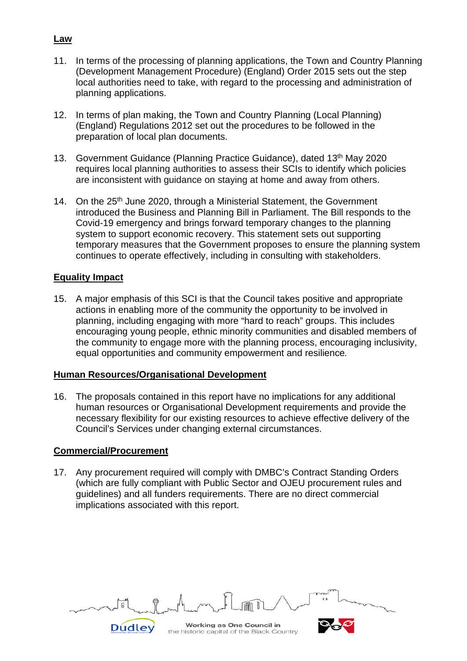- 11. In terms of the processing of planning applications, the Town and Country Planning (Development Management Procedure) (England) Order 2015 sets out the step local authorities need to take, with regard to the processing and administration of planning applications.
- 12. In terms of plan making, the Town and Country Planning (Local Planning) (England) Regulations 2012 set out the procedures to be followed in the preparation of local plan documents.
- 13. Government Guidance (Planning Practice Guidance), dated 13<sup>th</sup> May 2020 requires local planning authorities to assess their SCIs to identify which policies are inconsistent with guidance on staying at home and away from others.
- 14. On the 25<sup>th</sup> June 2020, through a Ministerial Statement, the Government introduced the Business and Planning Bill in Parliament. The Bill responds to the Covid-19 emergency and brings forward temporary changes to the planning system to support economic recovery. This statement sets out supporting temporary measures that the Government proposes to ensure the planning system continues to operate effectively, including in consulting with stakeholders.

#### **Equality Impact**

15. A major emphasis of this SCI is that the Council takes positive and appropriate actions in enabling more of the community the opportunity to be involved in planning, including engaging with more "hard to reach" groups. This includes encouraging young people, ethnic minority communities and disabled members of the community to engage more with the planning process, encouraging inclusivity, equal opportunities and community empowerment and resilience*.*

#### **Human Resources/Organisational Development**

16. The proposals contained in this report have no implications for any additional human resources or Organisational Development requirements and provide the necessary flexibility for our existing resources to achieve effective delivery of the Council's Services under changing external circumstances.

#### **Commercial/Procurement**

17. Any procurement required will comply with DMBC's Contract Standing Orders (which are fully compliant with Public Sector and OJEU procurement rules and guidelines) and all funders requirements. There are no direct commercial implications associated with this report.



## **Law**